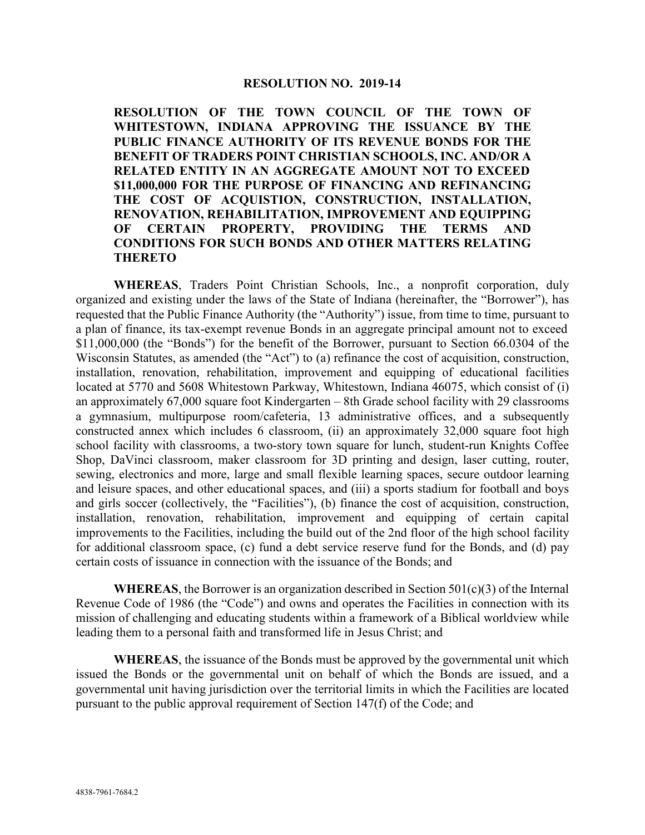## **RESOLUTION NO. 2019-14**

**RESOLUTION OF THE TOWN COUNCIL OF THE TOWN OF WHITESTOWN, INDIANA APPROVING THE ISSUANCE BY THE PUBLIC FINANCE AUTHORITY OF ITS REVENUE BONDS FOR THE BENEFIT OF TRADERS POINT CHRISTIAN SCHOOLS, INC. AND/OR A RELATED ENTITY IN AN AGGREGATE AMOUNT NOT TO EXCEED \$11,000,000 FOR THE PURPOSE OF FINANCING AND REFINANCING THE COST OF ACQUISTION, CONSTRUCTION, INSTALLATION, RENOVATION, REHABILITATION, IMPROVEMENT AND EQUIPPING OF CERTAIN PROPERTY, PROVIDING THE TERMS AND CONDITIONS FOR SUCH BONDS AND OTHER MATTERS RELATING THERETO**

**WHEREAS**, Traders Point Christian Schools, Inc., a nonprofit corporation, duly organized and existing under the laws of the State of Indiana (hereinafter, the "Borrower"), has requested that the Public Finance Authority (the "Authority") issue, from time to time, pursuant to a plan of finance, its tax-exempt revenue Bonds in an aggregate principal amount not to exceed \$11,000,000 (the "Bonds") for the benefit of the Borrower, pursuant to Section 66.0304 of the Wisconsin Statutes, as amended (the "Act") to (a) refinance the cost of acquisition, construction, installation, renovation, rehabilitation, improvement and equipping of educational facilities located at 5770 and 5608 Whitestown Parkway, Whitestown, Indiana 46075, which consist of (i) an approximately 67,000 square foot Kindergarten – 8th Grade school facility with 29 classrooms a gymnasium, multipurpose room/cafeteria, 13 administrative offices, and a subsequently constructed annex which includes 6 classroom, (ii) an approximately 32,000 square foot high school facility with classrooms, a two-story town square for lunch, student-run Knights Coffee Shop, DaVinci classroom, maker classroom for 3D printing and design, laser cutting, router, sewing, electronics and more, large and small flexible learning spaces, secure outdoor learning and leisure spaces, and other educational spaces, and (iii) a sports stadium for football and boys and girls soccer (collectively, the "Facilities"), (b) finance the cost of acquisition, construction, installation, renovation, rehabilitation, improvement and equipping of certain capital improvements to the Facilities, including the build out of the 2nd floor of the high school facility for additional classroom space, (c) fund a debt service reserve fund for the Bonds, and (d) pay certain costs of issuance in connection with the issuance of the Bonds; and

**WHEREAS**, the Borrower is an organization described in Section  $501(c)(3)$  of the Internal Revenue Code of 1986 (the "Code") and owns and operates the Facilities in connection with its mission of challenging and educating students within a framework of a Biblical worldview while leading them to a personal faith and transformed life in Jesus Christ; and

**WHEREAS**, the issuance of the Bonds must be approved by the governmental unit which issued the Bonds or the governmental unit on behalf of which the Bonds are issued, and a governmental unit having jurisdiction over the territorial limits in which the Facilities are located pursuant to the public approval requirement of Section 147(f) of the Code; and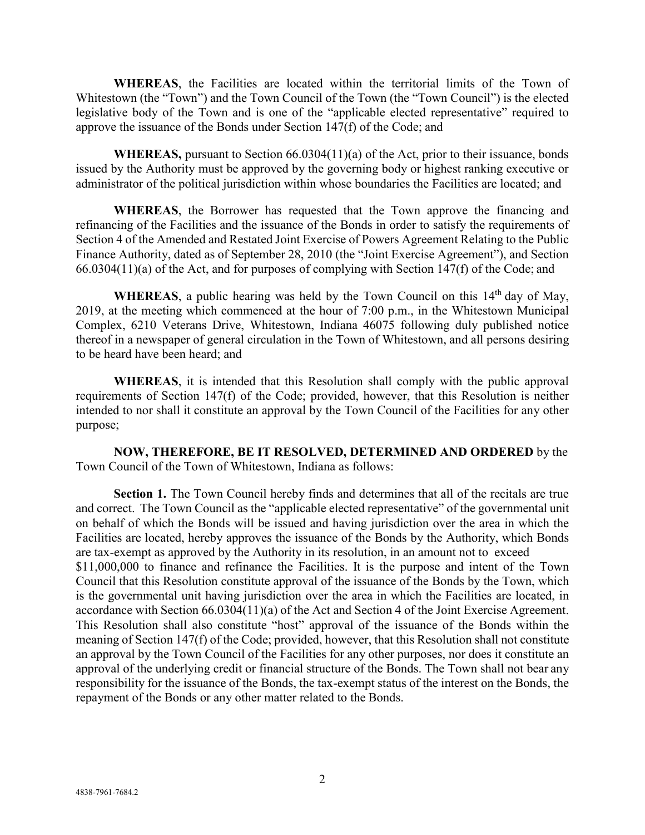**WHEREAS**, the Facilities are located within the territorial limits of the Town of Whitestown (the "Town") and the Town Council of the Town (the "Town Council") is the elected legislative body of the Town and is one of the "applicable elected representative" required to approve the issuance of the Bonds under Section 147(f) of the Code; and

**WHEREAS,** pursuant to Section 66.0304(11)(a) of the Act, prior to their issuance, bonds issued by the Authority must be approved by the governing body or highest ranking executive or administrator of the political jurisdiction within whose boundaries the Facilities are located; and

**WHEREAS**, the Borrower has requested that the Town approve the financing and refinancing of the Facilities and the issuance of the Bonds in order to satisfy the requirements of Section 4 of the Amended and Restated Joint Exercise of Powers Agreement Relating to the Public Finance Authority, dated as of September 28, 2010 (the "Joint Exercise Agreement"), and Section 66.0304(11)(a) of the Act, and for purposes of complying with Section 147(f) of the Code; and

WHEREAS, a public hearing was held by the Town Council on this 14<sup>th</sup> day of May, 2019, at the meeting which commenced at the hour of 7:00 p.m., in the Whitestown Municipal Complex, 6210 Veterans Drive, Whitestown, Indiana 46075 following duly published notice thereof in a newspaper of general circulation in the Town of Whitestown, and all persons desiring to be heard have been heard; and

**WHEREAS**, it is intended that this Resolution shall comply with the public approval requirements of Section 147(f) of the Code; provided, however, that this Resolution is neither intended to nor shall it constitute an approval by the Town Council of the Facilities for any other purpose;

**NOW, THEREFORE, BE IT RESOLVED, DETERMINED AND ORDERED** by the Town Council of the Town of Whitestown, Indiana as follows:

Section 1. The Town Council hereby finds and determines that all of the recitals are true and correct. The Town Council as the "applicable elected representative" of the governmental unit on behalf of which the Bonds will be issued and having jurisdiction over the area in which the Facilities are located, hereby approves the issuance of the Bonds by the Authority, which Bonds are tax-exempt as approved by the Authority in its resolution, in an amount not to exceed \$11,000,000 to finance and refinance the Facilities. It is the purpose and intent of the Town Council that this Resolution constitute approval of the issuance of the Bonds by the Town, which is the governmental unit having jurisdiction over the area in which the Facilities are located, in accordance with Section 66.0304(11)(a) of the Act and Section 4 of the Joint Exercise Agreement. This Resolution shall also constitute "host" approval of the issuance of the Bonds within the meaning of Section 147(f) of the Code; provided, however, that this Resolution shall not constitute an approval by the Town Council of the Facilities for any other purposes, nor does it constitute an approval of the underlying credit or financial structure of the Bonds. The Town shall not bear any responsibility for the issuance of the Bonds, the tax-exempt status of the interest on the Bonds, the repayment of the Bonds or any other matter related to the Bonds.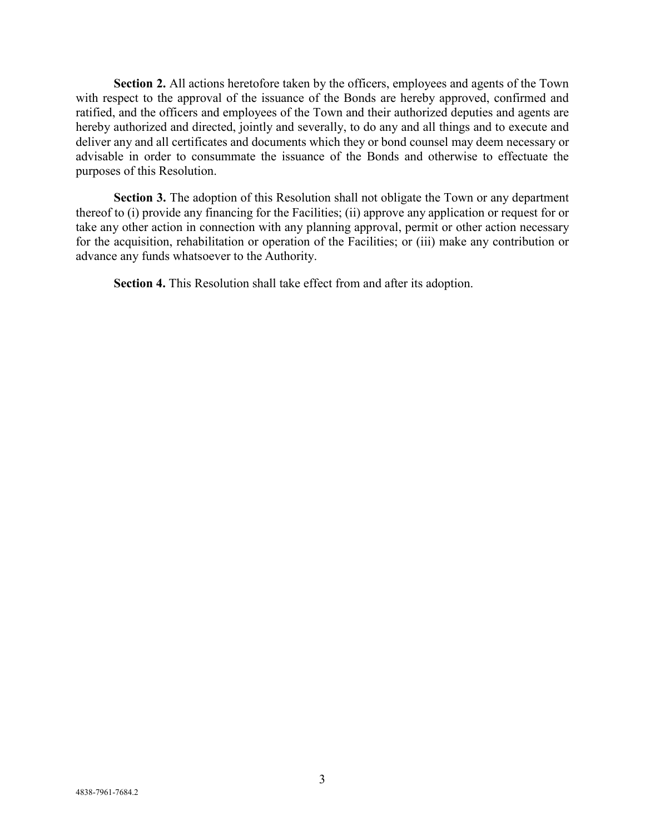**Section 2.** All actions heretofore taken by the officers, employees and agents of the Town with respect to the approval of the issuance of the Bonds are hereby approved, confirmed and ratified, and the officers and employees of the Town and their authorized deputies and agents are hereby authorized and directed, jointly and severally, to do any and all things and to execute and deliver any and all certificates and documents which they or bond counsel may deem necessary or advisable in order to consummate the issuance of the Bonds and otherwise to effectuate the purposes of this Resolution.

**Section 3.** The adoption of this Resolution shall not obligate the Town or any department thereof to (i) provide any financing for the Facilities; (ii) approve any application or request for or take any other action in connection with any planning approval, permit or other action necessary for the acquisition, rehabilitation or operation of the Facilities; or (iii) make any contribution or advance any funds whatsoever to the Authority.

**Section 4.** This Resolution shall take effect from and after its adoption.